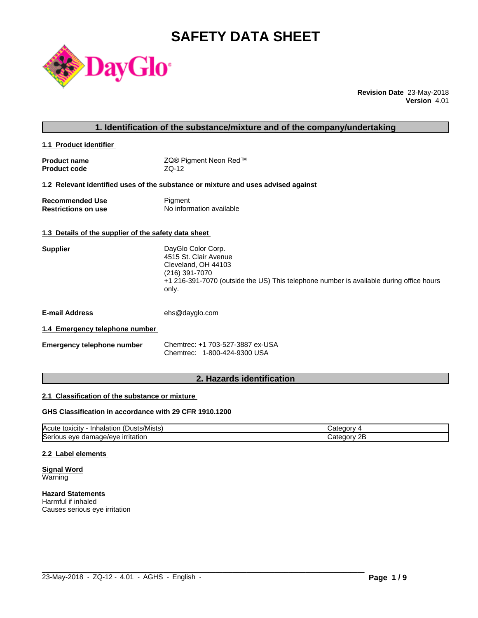# **SAFETY DATA SHEET**



**Revision Date** 23-May-2018 **Version** 4.01

| 1. Identification of the substance/mixture and of the company/undertaking |                                                                                                                                                                                          |  |
|---------------------------------------------------------------------------|------------------------------------------------------------------------------------------------------------------------------------------------------------------------------------------|--|
| 1.1 Product identifier                                                    |                                                                                                                                                                                          |  |
| <b>Product name</b><br><b>Product code</b>                                | ZQ® Pigment Neon Red™<br>$ZQ-12$                                                                                                                                                         |  |
|                                                                           | 1.2 Relevant identified uses of the substance or mixture and uses advised against                                                                                                        |  |
| <b>Recommended Use</b><br><b>Restrictions on use</b>                      | Pigment<br>No information available                                                                                                                                                      |  |
| 1.3 Details of the supplier of the safety data sheet                      |                                                                                                                                                                                          |  |
| <b>Supplier</b>                                                           | DayGlo Color Corp.<br>4515 St. Clair Avenue<br>Cleveland, OH 44103<br>(216) 391-7070<br>+1 216-391-7070 (outside the US) This telephone number is available during office hours<br>only. |  |
| <b>E-mail Address</b>                                                     | ehs@dayglo.com                                                                                                                                                                           |  |
| 1.4 Emergency telephone number                                            |                                                                                                                                                                                          |  |
| <b>Emergency telephone number</b>                                         | Chemtrec: +1 703-527-3887 ex-USA<br>Chemtrec: 1-800-424-9300 USA                                                                                                                         |  |

## **2. Hazards identification**

## **2.1 Classification of the substance or mixture**

## **GHS Classification in accordance with 29 CFR 1910.1200**

| $\mathbf{r}$<br>/Mists<br><b>IAcute</b><br>DUSTS.<br>toxicity<br>- Inhalation | . v                          |
|-------------------------------------------------------------------------------|------------------------------|
| Serious<br>irritation<br>.nage/eye<br>eve<br>aar                              | חה<br>עזרור<br><u>_</u><br>. |

 $\_$  ,  $\_$  ,  $\_$  ,  $\_$  ,  $\_$  ,  $\_$  ,  $\_$  ,  $\_$  ,  $\_$  ,  $\_$  ,  $\_$  ,  $\_$  ,  $\_$  ,  $\_$  ,  $\_$  ,  $\_$  ,  $\_$  ,  $\_$  ,  $\_$  ,  $\_$  ,  $\_$  ,  $\_$  ,  $\_$  ,  $\_$  ,  $\_$  ,  $\_$  ,  $\_$  ,  $\_$  ,  $\_$  ,  $\_$  ,  $\_$  ,  $\_$  ,  $\_$  ,  $\_$  ,  $\_$  ,  $\_$  ,  $\_$  ,

## **2.2 Label elements**

**Signal Word** Warning

**Hazard Statements** Harmful if inhaled Causes serious eye irritation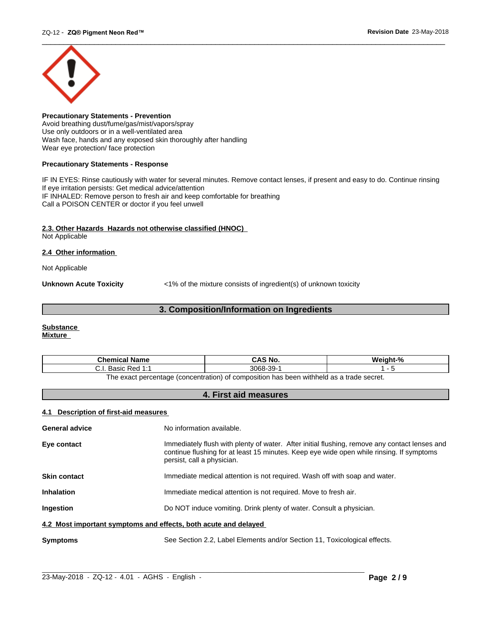

**Precautionary Statements - Prevention** Avoid breathing dust/fume/gas/mist/vapors/spray Use only outdoors or in a well-ventilated area Wash face, hands and any exposed skin thoroughly after handling Wear eye protection/ face protection

## **Precautionary Statements - Response**

IF IN EYES: Rinse cautiously with water for several minutes. Remove contact lenses, if present and easy to do. Continue rinsing If eye irritation persists: Get medical advice/attention IF INHALED: Remove person to fresh air and keep comfortable for breathing Call a POISON CENTER or doctor if you feel unwell

## **2.3. Other Hazards Hazards not otherwise classified (HNOC)**

Not Applicable

## **2.4 Other information**

Not Applicable

**Unknown Acute Toxicity**  $\langle 1\%$  of the mixture consists of ingredient(s) of unknown toxicity

## **3. Composition/Information on Ingredients**

#### **Substance Mixture**

| Chemical<br>∣ Name                                                                      | `S No.<br>CA.              | $\mathbf{a}$ |
|-----------------------------------------------------------------------------------------|----------------------------|--------------|
| <b>Dod 1.4</b><br>20010<br>n sa<br>ن.<br>Dasit<br>.                                     | 3068<br>$\sim$<br>99-<br>ີ |              |
| The exact perceptage (conceptration) of compecition has been withhold as a trade secret |                            |              |

The exact percentage (concentration) of composition has been withheld as a trade secret.

## **4. First aid measures**

## **4.1 Description of first-aid measures**

| <b>General advice</b>                                           | No information available.                                                                                                                                                                                               |  |
|-----------------------------------------------------------------|-------------------------------------------------------------------------------------------------------------------------------------------------------------------------------------------------------------------------|--|
| Eye contact                                                     | Immediately flush with plenty of water. After initial flushing, remove any contact lenses and<br>continue flushing for at least 15 minutes. Keep eye wide open while rinsing. If symptoms<br>persist, call a physician. |  |
| <b>Skin contact</b>                                             | Immediate medical attention is not required. Wash off with soap and water.                                                                                                                                              |  |
| <b>Inhalation</b>                                               | Immediate medical attention is not required. Move to fresh air.                                                                                                                                                         |  |
| <b>Ingestion</b>                                                | Do NOT induce vomiting. Drink plenty of water. Consult a physician.                                                                                                                                                     |  |
| 4.2 Most important symptoms and effects, both acute and delayed |                                                                                                                                                                                                                         |  |
| <b>Symptoms</b>                                                 | See Section 2.2, Label Elements and/or Section 11, Toxicological effects.                                                                                                                                               |  |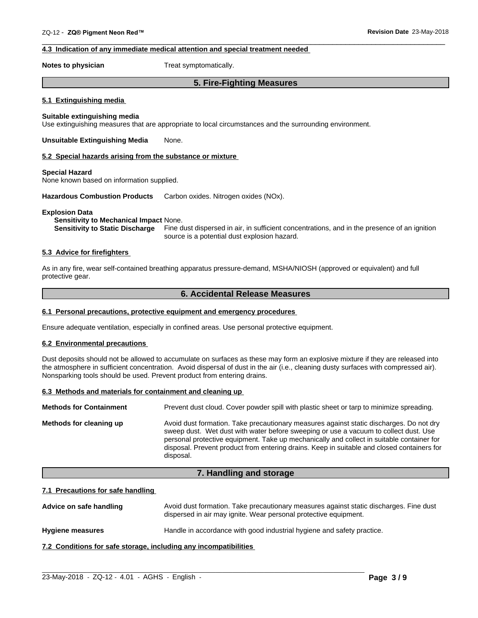## **4.3 Indication of any immediate medical attention and special treatment needed**

**Notes to physician** Treat symptomatically.

## **5. Fire-Fighting Measures**

 $\overline{\phantom{a}}$  ,  $\overline{\phantom{a}}$  ,  $\overline{\phantom{a}}$  ,  $\overline{\phantom{a}}$  ,  $\overline{\phantom{a}}$  ,  $\overline{\phantom{a}}$  ,  $\overline{\phantom{a}}$  ,  $\overline{\phantom{a}}$  ,  $\overline{\phantom{a}}$  ,  $\overline{\phantom{a}}$  ,  $\overline{\phantom{a}}$  ,  $\overline{\phantom{a}}$  ,  $\overline{\phantom{a}}$  ,  $\overline{\phantom{a}}$  ,  $\overline{\phantom{a}}$  ,  $\overline{\phantom{a}}$ 

### **5.1 Extinguishing media**

## **Suitable extinguishing media**

Use extinguishing measures that are appropriate to local circumstances and the surrounding environment.

**Unsuitable Extinguishing Media** None.

#### **5.2 Special hazards arising from the substance or mixture**

#### **Special Hazard**

None known based on information supplied.

**Hazardous Combustion Products** Carbon oxides. Nitrogen oxides (NOx).

#### **Explosion Data**

## **Sensitivity to Mechanical Impact** None.

**Sensitivity to Static Discharge** Fine dust dispersed in air, in sufficient concentrations, and in the presence of an ignition source is a potential dust explosion hazard.

## **5.3 Advice for firefighters**

As in any fire, wear self-contained breathing apparatus pressure-demand, MSHA/NIOSH (approved or equivalent) and full protective gear.

## **6. Accidental Release Measures**

### **6.1 Personal precautions, protective equipment and emergency procedures**

Ensure adequate ventilation, especially in confined areas. Use personal protective equipment.

#### **6.2 Environmental precautions**

Dust deposits should not be allowed to accumulate on surfaces as these may form an explosive mixture if they are released into the atmosphere in sufficient concentration. Avoid dispersal of dust in the air (i.e., cleaning dusty surfaces with compressed air). Nonsparking tools should be used. Prevent product from entering drains.

#### **6.3 Methods and materials for containment and cleaning up**

| <b>Methods for Containment</b> | Prevent dust cloud. Cover powder spill with plastic sheet or tarp to minimize spreading.                                                                                                                                                                                                                                                                                                |
|--------------------------------|-----------------------------------------------------------------------------------------------------------------------------------------------------------------------------------------------------------------------------------------------------------------------------------------------------------------------------------------------------------------------------------------|
| Methods for cleaning up        | Avoid dust formation. Take precautionary measures against static discharges. Do not dry<br>sweep dust. Wet dust with water before sweeping or use a vacuum to collect dust. Use<br>personal protective equipment. Take up mechanically and collect in suitable container for<br>disposal. Prevent product from entering drains. Keep in suitable and closed containers for<br>disposal. |

## **7. Handling and storage**

### **7.1 Precautions for safe handling**

Advice on safe handling **Avoid dust formation. Take precautionary measures against static discharges. Fine dust** dispersed in air may ignite. Wear personal protective equipment.

**Hygiene measures** Handle in accordance with good industrial hygiene and safety practice.

**7.2 Conditions for safe storage, including any incompatibilities**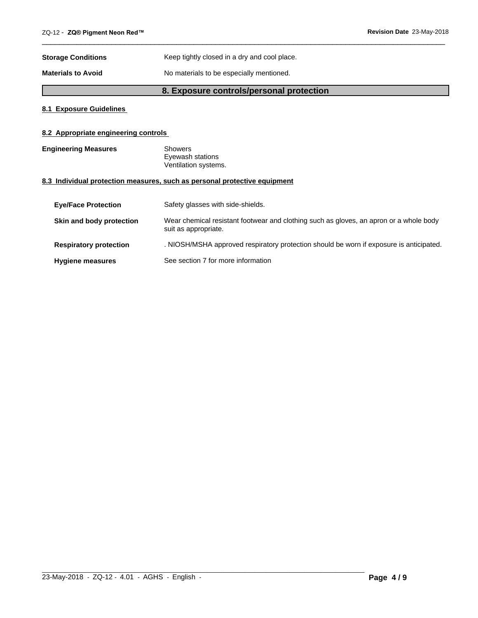| <b>Storage Conditions</b> | Keep tightly closed in a dry and cool place. |
|---------------------------|----------------------------------------------|
| <b>Materials to Avoid</b> | No materials to be especially mentioned.     |

## **8. Exposure controls/personal protection**

 $\overline{\phantom{a}}$  ,  $\overline{\phantom{a}}$  ,  $\overline{\phantom{a}}$  ,  $\overline{\phantom{a}}$  ,  $\overline{\phantom{a}}$  ,  $\overline{\phantom{a}}$  ,  $\overline{\phantom{a}}$  ,  $\overline{\phantom{a}}$  ,  $\overline{\phantom{a}}$  ,  $\overline{\phantom{a}}$  ,  $\overline{\phantom{a}}$  ,  $\overline{\phantom{a}}$  ,  $\overline{\phantom{a}}$  ,  $\overline{\phantom{a}}$  ,  $\overline{\phantom{a}}$  ,  $\overline{\phantom{a}}$ 

## **8.1 Exposure Guidelines**

## **8.2 Appropriate engineering controls**

**Engineering Measures** Showers Eyewash stations Ventilation systems.

## **8.3 Individual protection measures, such as personal protective equipment**

| <b>Eve/Face Protection</b>    | Safety glasses with side-shields.                                                                              |
|-------------------------------|----------------------------------------------------------------------------------------------------------------|
| Skin and body protection      | Wear chemical resistant footwear and clothing such as gloves, an apron or a whole body<br>suit as appropriate. |
| <b>Respiratory protection</b> | . NIOSH/MSHA approved respiratory protection should be worn if exposure is anticipated.                        |
| <b>Hygiene measures</b>       | See section 7 for more information                                                                             |

 $\_$  ,  $\_$  ,  $\_$  ,  $\_$  ,  $\_$  ,  $\_$  ,  $\_$  ,  $\_$  ,  $\_$  ,  $\_$  ,  $\_$  ,  $\_$  ,  $\_$  ,  $\_$  ,  $\_$  ,  $\_$  ,  $\_$  ,  $\_$  ,  $\_$  ,  $\_$  ,  $\_$  ,  $\_$  ,  $\_$  ,  $\_$  ,  $\_$  ,  $\_$  ,  $\_$  ,  $\_$  ,  $\_$  ,  $\_$  ,  $\_$  ,  $\_$  ,  $\_$  ,  $\_$  ,  $\_$  ,  $\_$  ,  $\_$  ,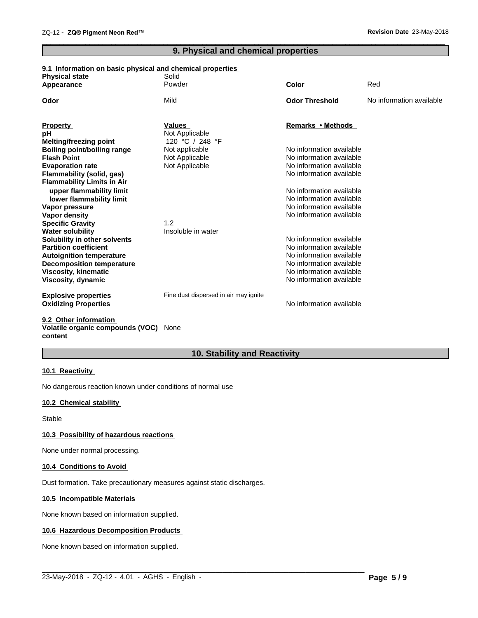## **9. Physical and chemical properties**

 $\overline{\phantom{a}}$  ,  $\overline{\phantom{a}}$  ,  $\overline{\phantom{a}}$  ,  $\overline{\phantom{a}}$  ,  $\overline{\phantom{a}}$  ,  $\overline{\phantom{a}}$  ,  $\overline{\phantom{a}}$  ,  $\overline{\phantom{a}}$  ,  $\overline{\phantom{a}}$  ,  $\overline{\phantom{a}}$  ,  $\overline{\phantom{a}}$  ,  $\overline{\phantom{a}}$  ,  $\overline{\phantom{a}}$  ,  $\overline{\phantom{a}}$  ,  $\overline{\phantom{a}}$  ,  $\overline{\phantom{a}}$ 

## **9.1 Information on basic physical and chemical properties**

| <b>Physical state</b>              | Solid                                 |                                                      |                          |
|------------------------------------|---------------------------------------|------------------------------------------------------|--------------------------|
| Appearance                         | Powder                                | Color                                                | Red                      |
| Odor                               | Mild                                  | <b>Odor Threshold</b>                                | No information available |
|                                    | <b>Values</b>                         | Remarks • Methods                                    |                          |
| <b>Property</b><br>рH              | Not Applicable                        |                                                      |                          |
| <b>Melting/freezing point</b>      | 120 °C / 248 °F                       |                                                      |                          |
| <b>Boiling point/boiling range</b> | Not applicable                        | No information available                             |                          |
| <b>Flash Point</b>                 | Not Applicable                        | No information available                             |                          |
| <b>Evaporation rate</b>            | Not Applicable                        | No information available                             |                          |
| Flammability (solid, gas)          |                                       | No information available                             |                          |
| <b>Flammability Limits in Air</b>  |                                       |                                                      |                          |
| upper flammability limit           |                                       | No information available                             |                          |
| lower flammability limit           |                                       | No information available                             |                          |
| Vapor pressure                     |                                       | No information available                             |                          |
| Vapor density                      |                                       | No information available                             |                          |
| <b>Specific Gravity</b>            | 1.2                                   |                                                      |                          |
| <b>Water solubility</b>            | Insoluble in water                    |                                                      |                          |
| Solubility in other solvents       |                                       | No information available                             |                          |
| <b>Partition coefficient</b>       |                                       | No information available                             |                          |
| <b>Autoignition temperature</b>    |                                       | No information available                             |                          |
| <b>Decomposition temperature</b>   |                                       | No information available                             |                          |
| <b>Viscosity, kinematic</b>        |                                       | No information available<br>No information available |                          |
| Viscosity, dynamic                 |                                       |                                                      |                          |
| <b>Explosive properties</b>        | Fine dust dispersed in air may ignite |                                                      |                          |
| <b>Oxidizing Properties</b>        |                                       | No information available                             |                          |
|                                    |                                       |                                                      |                          |

#### **9.2 Other information Volatile organic compounds (VOC)** None **content**

## **10. Stability and Reactivity**

## **10.1 Reactivity**

No dangerous reaction known under conditions of normal use

## **10.2 Chemical stability**

Stable

## **10.3 Possibility of hazardous reactions**

None under normal processing.

## **10.4 Conditions to Avoid**

Dust formation. Take precautionary measures against static discharges.

## **10.5 Incompatible Materials**

None known based on information supplied.

## **10.6 Hazardous Decomposition Products**

None known based on information supplied.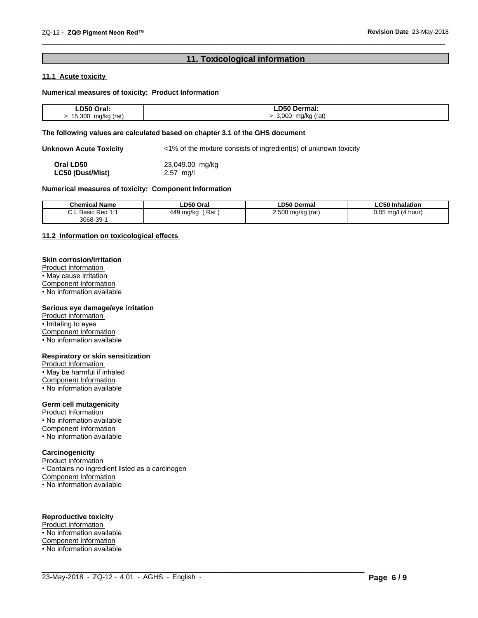## **11. Toxicological information**

 $\overline{\phantom{a}}$  ,  $\overline{\phantom{a}}$  ,  $\overline{\phantom{a}}$  ,  $\overline{\phantom{a}}$  ,  $\overline{\phantom{a}}$  ,  $\overline{\phantom{a}}$  ,  $\overline{\phantom{a}}$  ,  $\overline{\phantom{a}}$  ,  $\overline{\phantom{a}}$  ,  $\overline{\phantom{a}}$  ,  $\overline{\phantom{a}}$  ,  $\overline{\phantom{a}}$  ,  $\overline{\phantom{a}}$  ,  $\overline{\phantom{a}}$  ,  $\overline{\phantom{a}}$  ,  $\overline{\phantom{a}}$ 

## **11.1 Acute toxicity**

## **Numerical measures of toxicity: Product Information**

| D50         | ermal: |
|-------------|--------|
| Oral:       |        |
| 15.300      |        |
| mg/kg (rat) | റററ    |
| J           | (rat)  |
| $\sim$      | mg/kg  |

## **The following values are calculated based on chapter 3.1 of the GHS document**

**Unknown Acute Toxicity** <1% of the mixture consists of ingredient(s) of unknown toxicity

| Oral LD50               | 23,049.00 mg/kg |
|-------------------------|-----------------|
| <b>LC50 (Dust/Mist)</b> | $2.57$ mg/l     |

## **Numerical measures of toxicity: Component Information**

| <b>Chemical Name</b>                                     | ∟D50 Oral            | <b>LD50 Dermal</b>      | <b>LC50 Inhalation</b>   |
|----------------------------------------------------------|----------------------|-------------------------|--------------------------|
| ^<br><b>Dod 1.1</b><br>Basic<br>neu -<br>◡.୲<br>3068-39- | Rat<br>449<br>∵ma/ka | 2,500<br>(rat)<br>mg/kg | 0.05<br>ma/l<br>(4 hour) |

 $\_$  ,  $\_$  ,  $\_$  ,  $\_$  ,  $\_$  ,  $\_$  ,  $\_$  ,  $\_$  ,  $\_$  ,  $\_$  ,  $\_$  ,  $\_$  ,  $\_$  ,  $\_$  ,  $\_$  ,  $\_$  ,  $\_$  ,  $\_$  ,  $\_$  ,  $\_$  ,  $\_$  ,  $\_$  ,  $\_$  ,  $\_$  ,  $\_$  ,  $\_$  ,  $\_$  ,  $\_$  ,  $\_$  ,  $\_$  ,  $\_$  ,  $\_$  ,  $\_$  ,  $\_$  ,  $\_$  ,  $\_$  ,  $\_$  ,

## **11.2 Information on toxicologicaleffects**

## **Skin corrosion/irritation**

Product Information • May cause irritation Component Information

 $\overline{\cdot}$  No information available

## **Serious eye damage/eye irritation**

Product Information • Irritating to eyes Component Information • No information available

#### **Respiratory or skin sensitization**

Product Information • May be harmful if inhaled Component Information • No information available

## **Germ cell mutagenicity**

Product Information • No information available Component Information • No information available

## **Carcinogenicity**

Product Information • Contains no ingredient listed as a carcinogen Component Information • No information available

## **Reproductive toxicity**

Product Information • No information available Component Information • No information available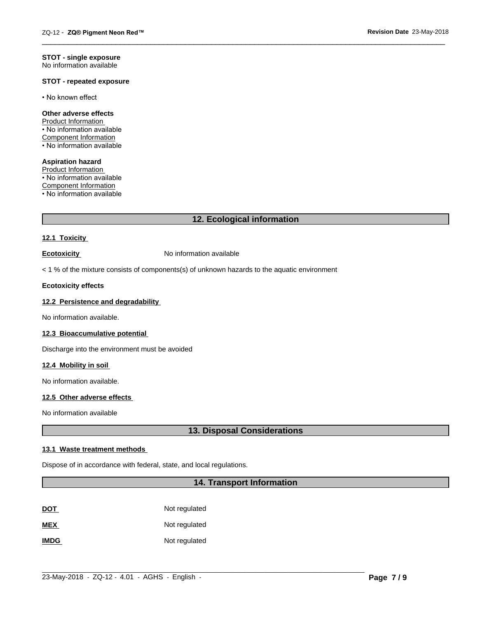#### **STOT - single exposure** No information available

## **STOT - repeated exposure**

• No known effect

## **Other adverse effects**

Product Information • No information available Component Information • No information available

**Aspiration hazard** Product Information • No information available Component Information • No information available

## **12. Ecological information**

 $\overline{\phantom{a}}$  ,  $\overline{\phantom{a}}$  ,  $\overline{\phantom{a}}$  ,  $\overline{\phantom{a}}$  ,  $\overline{\phantom{a}}$  ,  $\overline{\phantom{a}}$  ,  $\overline{\phantom{a}}$  ,  $\overline{\phantom{a}}$  ,  $\overline{\phantom{a}}$  ,  $\overline{\phantom{a}}$  ,  $\overline{\phantom{a}}$  ,  $\overline{\phantom{a}}$  ,  $\overline{\phantom{a}}$  ,  $\overline{\phantom{a}}$  ,  $\overline{\phantom{a}}$  ,  $\overline{\phantom{a}}$ 

## **12.1 Toxicity**

**Ecotoxicity No information available** 

 $<$  1 % of the mixture consists of components(s) of unknown hazards to the aquatic environment

#### **Ecotoxicity effects**

## **12.2 Persistence and degradability**

No information available.

#### **12.3 Bioaccumulative potential**

Discharge into the environment must be avoided

### **12.4 Mobility in soil**

No information available.

## **12.5 Other adverse effects**

No information available

## **13. Disposal Considerations**

#### **13.1 Waste treatment methods**

Dispose of in accordance with federal, state, and local regulations.

## **14. Transport Information**

| <u>DOT</u>  | Not regulated |
|-------------|---------------|
| <b>MEX</b>  | Not regulated |
| <b>IMDG</b> | Not regulated |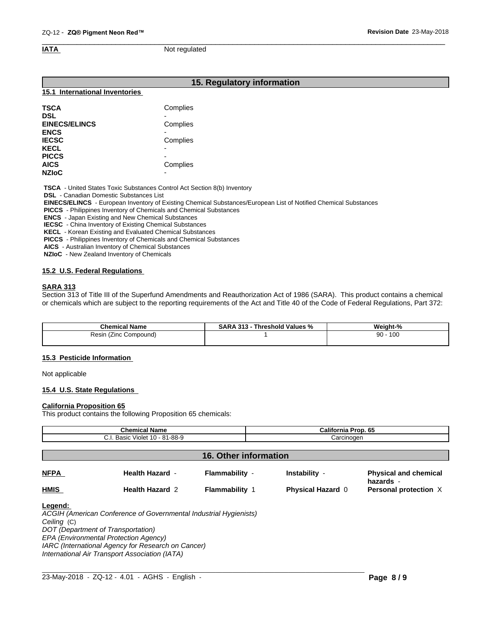$\overline{\phantom{a}}$  ,  $\overline{\phantom{a}}$  ,  $\overline{\phantom{a}}$  ,  $\overline{\phantom{a}}$  ,  $\overline{\phantom{a}}$  ,  $\overline{\phantom{a}}$  ,  $\overline{\phantom{a}}$  ,  $\overline{\phantom{a}}$  ,  $\overline{\phantom{a}}$  ,  $\overline{\phantom{a}}$  ,  $\overline{\phantom{a}}$  ,  $\overline{\phantom{a}}$  ,  $\overline{\phantom{a}}$  ,  $\overline{\phantom{a}}$  ,  $\overline{\phantom{a}}$  ,  $\overline{\phantom{a}}$ **IATA** Not regulated

## **15. Regulatory information**

### **15.1 International Inventories**

| <b>TSCA</b>          | Complies                 |  |
|----------------------|--------------------------|--|
| <b>DSL</b>           |                          |  |
| <b>EINECS/ELINCS</b> | Complies                 |  |
| <b>ENCS</b>          |                          |  |
| <b>IECSC</b>         | Complies                 |  |
| <b>KECL</b>          | $\overline{\phantom{0}}$ |  |
| <b>PICCS</b>         |                          |  |
| <b>AICS</b>          | Complies                 |  |
| <b>NZIoC</b>         | -                        |  |

 **TSCA** - United States Toxic Substances Control Act Section 8(b) Inventory

 **DSL** - Canadian Domestic Substances List

 **EINECS/ELINCS** - European Inventory of Existing Chemical Substances/European List of Notified Chemical Substances

 **PICCS** - Philippines Inventory of Chemicals and Chemical Substances

 **ENCS** - Japan Existing and New Chemical Substances

 **IECSC** - China Inventory of Existing Chemical Substances

 **KECL** - Korean Existing and Evaluated Chemical Substances

 **PICCS** - Philippines Inventory of Chemicals and Chemical Substances

 **AICS** - Australian Inventory of Chemical Substances

 **NZIoC** - New Zealand Inventory of Chemicals

## **15.2 U.S. Federal Regulations**

## **SARA 313**

Section 313 of Title III of the Superfund Amendments and Reauthorization Act of 1986 (SARA). This product contains a chemical or chemicals which are subject to the reporting requirements of the Act and Title 40 of the Code of Federal Regulations, Part 372:

| <b>Chemical</b><br>Name     | 31.3<br>Threshold Values<br>5AR/<br>ת ש<br>-70 | $\sim$<br>Weight-<br>70 |
|-----------------------------|------------------------------------------------|-------------------------|
| ≺esın<br>Compound)<br>(∠inc |                                                | 100<br>90               |
|                             |                                                |                         |

## **15.3 Pesticide Information**

Not applicable

## **15.4 U.S. State Regulations**

#### **California Proposition 65**

This product contains the following Proposition 65 chemicals:

| <b>Chemical Name</b><br>C.I. Basic Violet 10 - 81-88-9 |                        |                       | California Prop. 65      |                                           |
|--------------------------------------------------------|------------------------|-----------------------|--------------------------|-------------------------------------------|
|                                                        |                        | Carcinogen            |                          |                                           |
| <b>16. Other information</b>                           |                        |                       |                          |                                           |
| <b>NFPA</b>                                            | <b>Health Hazard -</b> | Flammability -        | Instability -            | <b>Physical and chemical</b><br>hazards - |
| <b>HMIS</b>                                            | <b>Health Hazard 2</b> | <b>Flammability 1</b> | <b>Physical Hazard 0</b> | Personal protection X                     |

*Ceiling* (C) *DOT (Department of Transportation) EPA (Environmental Protection Agency) IARC (International Agency for Research on Cancer) International Air Transport Association (IATA)*